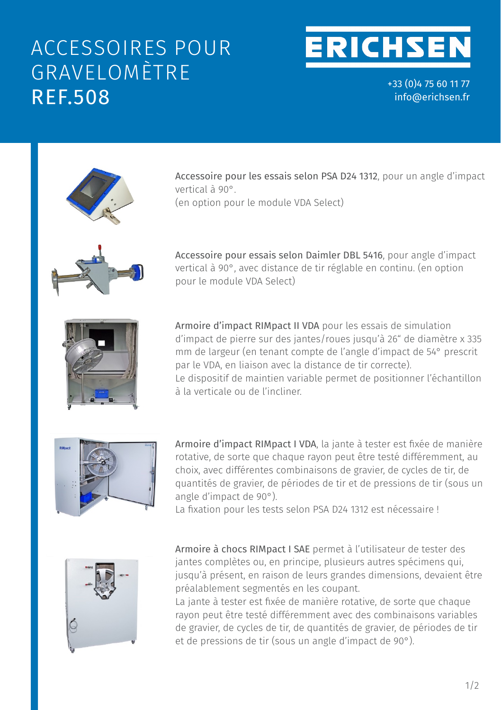## ACCESSOIRES POUR GRAVELOMÈTRE REF.508



during the whole bombardment process.

 $+33(0)475601177$ impact in the range from 30° to 90° in steps of 15°. orientation of the test panel relative to the direction of impact in the range from 30° in steps of 15°.<br>In steps of 15°.  $\frac{1}{2}$ unit for the impact angle allows to adjust the impact angle allows to adjust the impact of  $\alpha$ orientation of the test panel relative to the direction of impact in the range from 30° to 90° in steps of 15°. info@erichsen.fr

An upstream compressed air reservoir compensates

unit for the impact angle allows to adjust the impact angle allows to adjust the impact  $\alpha$ 

tested is located is located completely within the test room,  $\mathcal{L}_{\mathcal{A}}$ 

during the whole bombardment process.



**Accessories (optionally)** 

**Accessories (optionally)** 

Accessoire pour les essais selon PSA D24 1312, pour un angle d'impact<br>Divide pour les essais selon PSA D24 1312, pour un angle d'impact vertical à 90°. verticat a 90°.<br>(en option pour le module VDA Select) (en option pour le module VDA Select)

If option pour te module v*DA* belect)

Accessoire pour essais selon Daimler DBL 5416, pour angle d'impact vertical à 90°, avec distance de tir réglable en continu. (en option pour le module VDA Select)



Armoire d'impact RIMpact II VDA pour les essais de simulation **prindice dimpact shoot divided by VDA** pour tes essais de simulation.<br>d'impact de pierre cur declipates (reues iusqu'à 26" de diamètre y 225 The variable holding device allows and up the variable holding as well as to the variable position of the variable the variable state of the variable state of the variable state of the variable state of the variable state mm de largeur (en tenant compte de l'angle d'Impact de 54° prescrit **prescibed by VDA, in connection with the correct shoot distance**). up to 26" dia. x 335 mm width (**under consideration of 54° impact angle**  d'impact de pierre sur des jantes/roues jusqu'à 26" de diamètre x 335 par le VDA, en liaison avec la distance de tir correcte). **Armoire d'impact RIMpact II VDA** pour les essais de simulation<br>décrit de la pouvrait de la pouvraite de la pouvraite de la pouvraite de la pouvraite de la pouvraite de la pou par le vDA, en naison avec la distance de ur correcte).<br>Le dispositif de maintien variable permet de positionner l'échantillon Le dispositif de manitien variable permet de positioniner l'echantition<br>à la verticale ou de l'incliner. mm de largeur (en tenant compte de l'angle d'impact de 54° prescrit sample. The contract of the position of the contract of the contract of the contract of the contract of the contract of the contract of the contract of the contract of the contract of the contract of the contract of the co



and shoot pressures **(under an impact angle of 90°)**. **Armoire d'impact RIMpact I VDA**, la jante à tester est fixée de manière Impact Cabinet **RIMpact I SAE** enables the user to test complete rims The attachment for tests in accordance with **PSA D24 1312** is necessary! and shoot pressures **(under an impact angle of 90°)**. so **each single spoke** can be tested differently by choice with varying quantités de gravier, de périodes de tir et de pressions de tir (sous un angle d'impact de 90°). rotative, de sorte que chaque rayon peut être testé différemment, au In the Impact Cabinet **RIMpact I VDA,** the wheel rim to be tested is turnably fixed, Armoire d'impact RIMpact I VDA, la jante à tester est fixée de manière<br>. choix, avec différentes combinaisons de gravier, de cycles de tir, de

La fixation pour les tests selon PSA D24 1312 est nécessaire ! the interest pour too boose dollars in the previous contract them.



Armoire à chocs RIMpact I SAE permet à l'utilisateur de tester des jantes complètes ou, en principe, plusieurs autres spécimens qui, 900°C.<br>1.100° squ'à présent, en raison de leurs grandes dimensions, devaient être<br>Écliente préalablement segmentés en les coupant.<br>. ,<br>jusqu'à présent, en raison de leurs grandes dimensions, devaient être

La jante à tester est fixée de manière rotative, de sorte que chaque 90°). 90°). rayon peut être testé différemment avec des combinaisons variables rayon peut ette teste unferemment avec des combinaisons vanables<br>de gravier, de cycles de tir, de quantités de gravier, de périodes de tir et gravel, so by choice et sil, sis quantities de gravel, so portosse de sil.<br>et de pressions de tir (sous un angle d'impact de 90°).  $\mathcal{L}$  gravel quantities, shoot periods and shoot periods and shoot pressures (under an impact angle of  $\mathcal{L}$